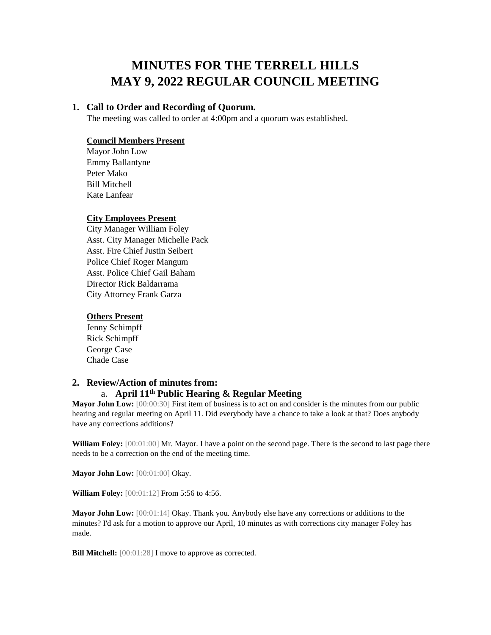# **MINUTES FOR THE TERRELL HILLS MAY 9, 2022 REGULAR COUNCIL MEETING**

## **1. Call to Order and Recording of Quorum.**

The meeting was called to order at 4:00pm and a quorum was established.

## **Council Members Present**

Mayor John Low Emmy Ballantyne Peter Mako Bill Mitchell Kate Lanfear

#### **City Employees Present**

City Manager William Foley Asst. City Manager Michelle Pack Asst. Fire Chief Justin Seibert Police Chief Roger Mangum Asst. Police Chief Gail Baham Director Rick Baldarrama City Attorney Frank Garza

## **Others Present**

Jenny Schimpff Rick Schimpff George Case Chade Case

## **2. Review/Action of minutes from:**

## a. **April 11th Public Hearing & Regular Meeting**

**Mayor John Low:** [00:00:30] First item of business is to act on and consider is the minutes from our public hearing and regular meeting on April 11. Did everybody have a chance to take a look at that? Does anybody have any corrections additions?

**William Foley:** [00:01:00] Mr. Mayor. I have a point on the second page. There is the second to last page there needs to be a correction on the end of the meeting time.

**Mayor John Low:** [00:01:00] Okay.

**William Foley:** [00:01:12] From 5:56 to 4:56.

**Mayor John Low:** [00:01:14] Okay. Thank you. Anybody else have any corrections or additions to the minutes? I'd ask for a motion to approve our April, 10 minutes as with corrections city manager Foley has made.

**Bill Mitchell:**  $[00:01:28]$  I move to approve as corrected.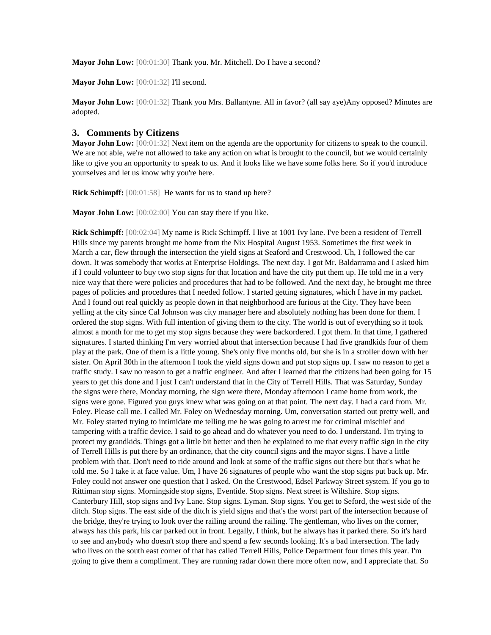**Mayor John Low:** [00:01:30] Thank you. Mr. Mitchell. Do I have a second?

Mayor John Low: [00:01:32] I'll second.

**Mayor John Low:** [00:01:32] Thank you Mrs. Ballantyne. All in favor? (all say aye)Any opposed? Minutes are adopted.

#### **3. Comments by Citizens**

**Mayor John Low:** [00:01:32] Next item on the agenda are the opportunity for citizens to speak to the council. We are not able, we're not allowed to take any action on what is brought to the council, but we would certainly like to give you an opportunity to speak to us. And it looks like we have some folks here. So if you'd introduce yourselves and let us know why you're here.

**Rick Schimpff:** [00:01:58] He wants for us to stand up here?

**Mayor John Low:** [00:02:00] You can stay there if you like.

**Rick Schimpff:** [00:02:04] My name is Rick Schimpff. I live at 1001 Ivy lane. I've been a resident of Terrell Hills since my parents brought me home from the Nix Hospital August 1953. Sometimes the first week in March a car, flew through the intersection the yield signs at Seaford and Crestwood. Uh, I followed the car down. It was somebody that works at Enterprise Holdings. The next day. I got Mr. Baldarrama and I asked him if I could volunteer to buy two stop signs for that location and have the city put them up. He told me in a very nice way that there were policies and procedures that had to be followed. And the next day, he brought me three pages of policies and procedures that I needed follow. I started getting signatures, which I have in my packet. And I found out real quickly as people down in that neighborhood are furious at the City. They have been yelling at the city since Cal Johnson was city manager here and absolutely nothing has been done for them. I ordered the stop signs. With full intention of giving them to the city. The world is out of everything so it took almost a month for me to get my stop signs because they were backordered. I got them. In that time, I gathered signatures. I started thinking I'm very worried about that intersection because I had five grandkids four of them play at the park. One of them is a little young. She's only five months old, but she is in a stroller down with her sister. On April 30th in the afternoon I took the yield signs down and put stop signs up. I saw no reason to get a traffic study. I saw no reason to get a traffic engineer. And after I learned that the citizens had been going for 15 years to get this done and I just I can't understand that in the City of Terrell Hills. That was Saturday, Sunday the signs were there, Monday morning, the sign were there, Monday afternoon I came home from work, the signs were gone. Figured you guys knew what was going on at that point. The next day. I had a card from. Mr. Foley. Please call me. I called Mr. Foley on Wednesday morning. Um, conversation started out pretty well, and Mr. Foley started trying to intimidate me telling me he was going to arrest me for criminal mischief and tampering with a traffic device. I said to go ahead and do whatever you need to do. I understand. I'm trying to protect my grandkids. Things got a little bit better and then he explained to me that every traffic sign in the city of Terrell Hills is put there by an ordinance, that the city council signs and the mayor signs. I have a little problem with that. Don't need to ride around and look at some of the traffic signs out there but that's what he told me. So I take it at face value. Um, I have 26 signatures of people who want the stop signs put back up. Mr. Foley could not answer one question that I asked. On the Crestwood, Edsel Parkway Street system. If you go to Rittiman stop signs. Morningside stop signs, Eventide. Stop signs. Next street is Wiltshire. Stop signs. Canterbury Hill, stop signs and Ivy Lane. Stop signs. Lyman. Stop signs. You get to Seford, the west side of the ditch. Stop signs. The east side of the ditch is yield signs and that's the worst part of the intersection because of the bridge, they're trying to look over the railing around the railing. The gentleman, who lives on the corner, always has this park, his car parked out in front. Legally, I think, but he always has it parked there. So it's hard to see and anybody who doesn't stop there and spend a few seconds looking. It's a bad intersection. The lady who lives on the south east corner of that has called Terrell Hills, Police Department four times this year. I'm going to give them a compliment. They are running radar down there more often now, and I appreciate that. So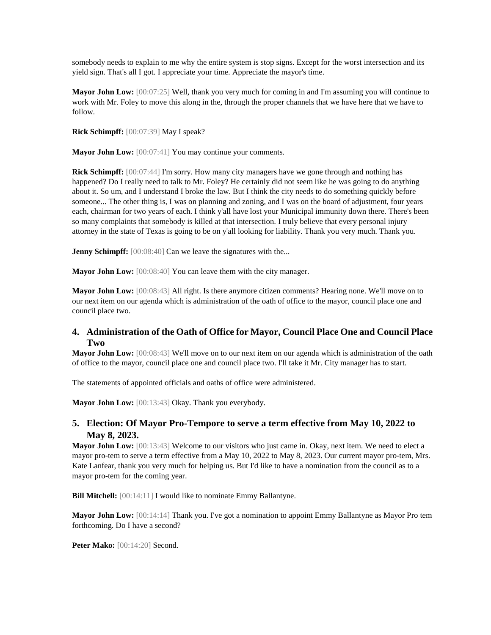somebody needs to explain to me why the entire system is stop signs. Except for the worst intersection and its yield sign. That's all I got. I appreciate your time. Appreciate the mayor's time.

**Mayor John Low:** [00:07:25] Well, thank you very much for coming in and I'm assuming you will continue to work with Mr. Foley to move this along in the, through the proper channels that we have here that we have to follow.

**Rick Schimpff:** [00:07:39] May I speak?

**Mayor John Low:** [00:07:41] You may continue your comments.

**Rick Schimpff:** [00:07:44] I'm sorry. How many city managers have we gone through and nothing has happened? Do I really need to talk to Mr. Foley? He certainly did not seem like he was going to do anything about it. So um, and I understand I broke the law. But I think the city needs to do something quickly before someone... The other thing is, I was on planning and zoning, and I was on the board of adjustment, four years each, chairman for two years of each. I think y'all have lost your Municipal immunity down there. There's been so many complaints that somebody is killed at that intersection. I truly believe that every personal injury attorney in the state of Texas is going to be on y'all looking for liability. Thank you very much. Thank you.

**Jenny Schimpff:** [00:08:40] Can we leave the signatures with the...

**Mayor John Low:** [00:08:40] You can leave them with the city manager.

**Mayor John Low:** [00:08:43] All right. Is there anymore citizen comments? Hearing none. We'll move on to our next item on our agenda which is administration of the oath of office to the mayor, council place one and council place two.

## **4. Administration of the Oath of Office for Mayor, Council Place One and Council Place Two**

**Mayor John Low:** [00:08:43] We'll move on to our next item on our agenda which is administration of the oath of office to the mayor, council place one and council place two. I'll take it Mr. City manager has to start.

The statements of appointed officials and oaths of office were administered.

Mayor John Low: [00:13:43] Okay. Thank you everybody.

## **5. Election: Of Mayor Pro-Tempore to serve a term effective from May 10, 2022 to May 8, 2023.**

**Mayor John Low:** [00:13:43] Welcome to our visitors who just came in. Okay, next item. We need to elect a mayor pro-tem to serve a term effective from a May 10, 2022 to May 8, 2023. Our current mayor pro-tem, Mrs. Kate Lanfear, thank you very much for helping us. But I'd like to have a nomination from the council as to a mayor pro-tem for the coming year.

**Bill Mitchell:** [00:14:11] I would like to nominate Emmy Ballantyne.

**Mayor John Low:** [00:14:14] Thank you. I've got a nomination to appoint Emmy Ballantyne as Mayor Pro tem forthcoming. Do I have a second?

**Peter Mako:** [00:14:20] Second.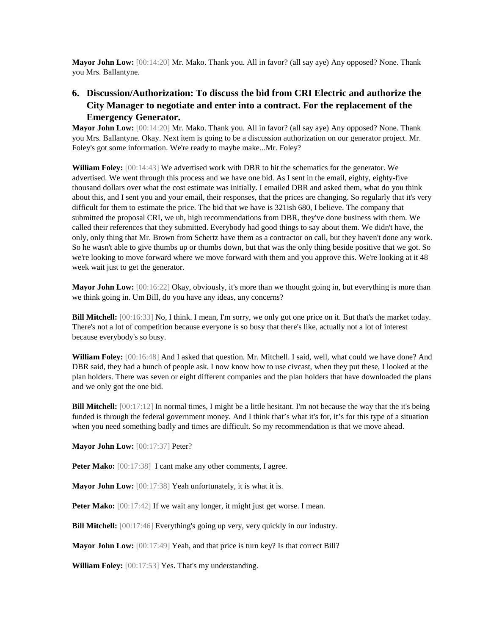**Mayor John Low:** [00:14:20] Mr. Mako. Thank you. All in favor? (all say aye) Any opposed? None. Thank you Mrs. Ballantyne.

# **6. Discussion/Authorization: To discuss the bid from CRI Electric and authorize the City Manager to negotiate and enter into a contract. For the replacement of the Emergency Generator.**

**Mayor John Low:** [00:14:20] Mr. Mako. Thank you. All in favor? (all say aye) Any opposed? None. Thank you Mrs. Ballantyne. Okay. Next item is going to be a discussion authorization on our generator project. Mr. Foley's got some information. We're ready to maybe make...Mr. Foley?

**William Foley:** [00:14:43] We advertised work with DBR to hit the schematics for the generator. We advertised. We went through this process and we have one bid. As I sent in the email, eighty, eighty-five thousand dollars over what the cost estimate was initially. I emailed DBR and asked them, what do you think about this, and I sent you and your email, their responses, that the prices are changing. So regularly that it's very difficult for them to estimate the price. The bid that we have is 321ish 680, I believe. The company that submitted the proposal CRI, we uh, high recommendations from DBR, they've done business with them. We called their references that they submitted. Everybody had good things to say about them. We didn't have, the only, only thing that Mr. Brown from Schertz have them as a contractor on call, but they haven't done any work. So he wasn't able to give thumbs up or thumbs down, but that was the only thing beside positive that we got. So we're looking to move forward where we move forward with them and you approve this. We're looking at it 48 week wait just to get the generator.

**Mayor John Low:** [00:16:22] Okay, obviously, it's more than we thought going in, but everything is more than we think going in. Um Bill, do you have any ideas, any concerns?

**Bill Mitchell:** [00:16:33] No, I think. I mean, I'm sorry, we only got one price on it. But that's the market today. There's not a lot of competition because everyone is so busy that there's like, actually not a lot of interest because everybody's so busy.

**William Foley:** [00:16:48] And I asked that question. Mr. Mitchell. I said, well, what could we have done? And DBR said, they had a bunch of people ask. I now know how to use civcast, when they put these, I looked at the plan holders. There was seven or eight different companies and the plan holders that have downloaded the plans and we only got the one bid.

**Bill Mitchell:** [00:17:12] In normal times, I might be a little hesitant. I'm not because the way that the it's being funded is through the federal government money. And I think that's what it's for, it's for this type of a situation when you need something badly and times are difficult. So my recommendation is that we move ahead.

**Mayor John Low:** [00:17:37] Peter?

Peter Mako: [00:17:38] I cant make any other comments, I agree.

**Mayor John Low:** [00:17:38] Yeah unfortunately, it is what it is.

**Peter Mako:** [00:17:42] If we wait any longer, it might just get worse. I mean.

**Bill Mitchell:** [00:17:46] Everything's going up very, very quickly in our industry.

**Mayor John Low:** [00:17:49] Yeah, and that price is turn key? Is that correct Bill?

**William Foley:** [00:17:53] Yes. That's my understanding.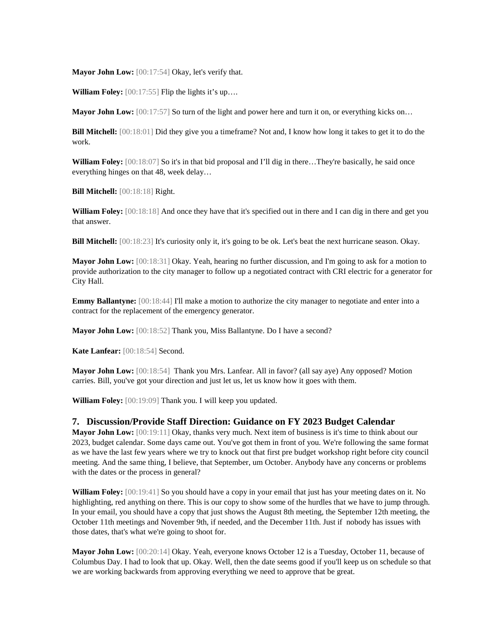**Mayor John Low:** [00:17:54] Okay, let's verify that.

**William Foley:** [00:17:55] Flip the lights it's up....

**Mayor John Low:**  $[00:17:57]$  So turn of the light and power here and turn it on, or everything kicks on...

**Bill Mitchell:** [00:18:01] Did they give you a timeframe? Not and, I know how long it takes to get it to do the work.

William Foley: [00:18:07] So it's in that bid proposal and I'll dig in there...They're basically, he said once everything hinges on that 48, week delay…

**Bill Mitchell:** [00:18:18] Right.

**William Foley:** [00:18:18] And once they have that it's specified out in there and I can dig in there and get you that answer.

**Bill Mitchell:** [00:18:23] It's curiosity only it, it's going to be ok. Let's beat the next hurricane season. Okay.

**Mayor John Low:** [00:18:31] Okay. Yeah, hearing no further discussion, and I'm going to ask for a motion to provide authorization to the city manager to follow up a negotiated contract with CRI electric for a generator for City Hall.

**Emmy Ballantyne:**  $[00:18:44]$  I'll make a motion to authorize the city manager to negotiate and enter into a contract for the replacement of the emergency generator.

**Mayor John Low:** [00:18:52] Thank you, Miss Ballantyne. Do I have a second?

**Kate Lanfear:** [00:18:54] Second.

**Mayor John Low:** [00:18:54] Thank you Mrs. Lanfear. All in favor? (all say aye) Any opposed? Motion carries. Bill, you've got your direction and just let us, let us know how it goes with them.

**William Foley:** [00:19:09] Thank you. I will keep you updated.

#### **7. Discussion/Provide Staff Direction: Guidance on FY 2023 Budget Calendar**

**Mayor John Low:** [00:19:11] Okay, thanks very much. Next item of business is it's time to think about our 2023, budget calendar. Some days came out. You've got them in front of you. We're following the same format as we have the last few years where we try to knock out that first pre budget workshop right before city council meeting. And the same thing, I believe, that September, um October. Anybody have any concerns or problems with the dates or the process in general?

**William Foley:** [00:19:41] So you should have a copy in your email that just has your meeting dates on it. No highlighting, red anything on there. This is our copy to show some of the hurdles that we have to jump through. In your email, you should have a copy that just shows the August 8th meeting, the September 12th meeting, the October 11th meetings and November 9th, if needed, and the December 11th. Just if nobody has issues with those dates, that's what we're going to shoot for.

**Mayor John Low:** [00:20:14] Okay. Yeah, everyone knows October 12 is a Tuesday, October 11, because of Columbus Day. I had to look that up. Okay. Well, then the date seems good if you'll keep us on schedule so that we are working backwards from approving everything we need to approve that be great.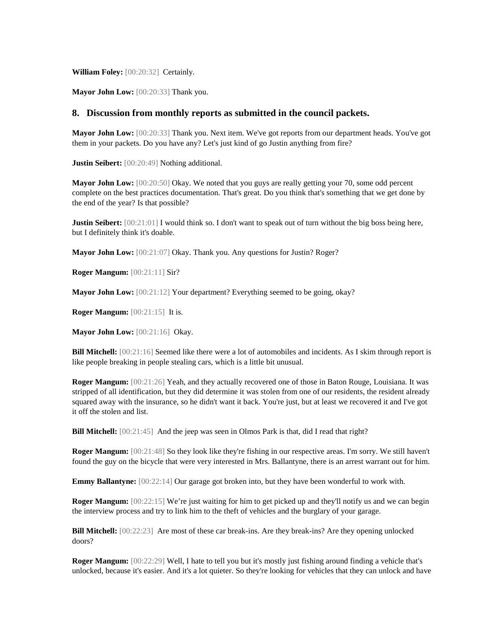**William Foley:** [00:20:32] Certainly.

**Mayor John Low:** [00:20:33] Thank you.

#### **8. Discussion from monthly reports as submitted in the council packets.**

**Mayor John Low:** [00:20:33] Thank you. Next item. We've got reports from our department heads. You've got them in your packets. Do you have any? Let's just kind of go Justin anything from fire?

**Justin Seibert:** [00:20:49] Nothing additional.

**Mayor John Low:** [00:20:50] Okay. We noted that you guys are really getting your 70, some odd percent complete on the best practices documentation. That's great. Do you think that's something that we get done by the end of the year? Is that possible?

**Justin Seibert:** [00:21:01] I would think so. I don't want to speak out of turn without the big boss being here, but I definitely think it's doable.

**Mayor John Low:** [00:21:07] Okay. Thank you. Any questions for Justin? Roger?

**Roger Mangum:** [00:21:11] Sir?

**Mayor John Low:** [00:21:12] Your department? Everything seemed to be going, okay?

**Roger Mangum:** [00:21:15] It is.

**Mayor John Low:** [00:21:16] Okay.

**Bill Mitchell:** [00:21:16] Seemed like there were a lot of automobiles and incidents. As I skim through report is like people breaking in people stealing cars, which is a little bit unusual.

**Roger Mangum:** [00:21:26] Yeah, and they actually recovered one of those in Baton Rouge, Louisiana. It was stripped of all identification, but they did determine it was stolen from one of our residents, the resident already squared away with the insurance, so he didn't want it back. You're just, but at least we recovered it and I've got it off the stolen and list.

**Bill Mitchell:** [00:21:45] And the jeep was seen in Olmos Park is that, did I read that right?

**Roger Mangum:** [00:21:48] So they look like they're fishing in our respective areas. I'm sorry. We still haven't found the guy on the bicycle that were very interested in Mrs. Ballantyne, there is an arrest warrant out for him.

**Emmy Ballantyne:**  $[00:22:14]$  Our garage got broken into, but they have been wonderful to work with.

**Roger Mangum:** [00:22:15] We're just waiting for him to get picked up and they'll notify us and we can begin the interview process and try to link him to the theft of vehicles and the burglary of your garage.

**Bill Mitchell:** [00:22:23] Are most of these car break-ins. Are they break-ins? Are they opening unlocked doors?

**Roger Mangum:** [00:22:29] Well, I hate to tell you but it's mostly just fishing around finding a vehicle that's unlocked, because it's easier. And it's a lot quieter. So they're looking for vehicles that they can unlock and have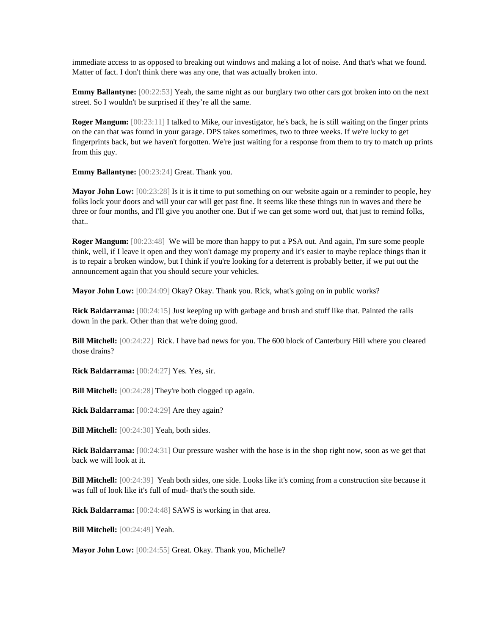immediate access to as opposed to breaking out windows and making a lot of noise. And that's what we found. Matter of fact. I don't think there was any one, that was actually broken into.

**Emmy Ballantyne:** [00:22:53] Yeah, the same night as our burglary two other cars got broken into on the next street. So I wouldn't be surprised if they're all the same.

**Roger Mangum:** [00:23:11] I talked to Mike, our investigator, he's back, he is still waiting on the finger prints on the can that was found in your garage. DPS takes sometimes, two to three weeks. If we're lucky to get fingerprints back, but we haven't forgotten. We're just waiting for a response from them to try to match up prints from this guy.

**Emmy Ballantyne:** [00:23:24] Great. Thank you.

**Mayor John Low:** [00:23:28] Is it is it time to put something on our website again or a reminder to people, hey folks lock your doors and will your car will get past fine. It seems like these things run in waves and there be three or four months, and I'll give you another one. But if we can get some word out, that just to remind folks, that..

**Roger Mangum:** [00:23:48] We will be more than happy to put a PSA out. And again, I'm sure some people think, well, if I leave it open and they won't damage my property and it's easier to maybe replace things than it is to repair a broken window, but I think if you're looking for a deterrent is probably better, if we put out the announcement again that you should secure your vehicles.

**Mayor John Low:** [00:24:09] Okay? Okay. Thank you. Rick, what's going on in public works?

**Rick Baldarrama:** [00:24:15] Just keeping up with garbage and brush and stuff like that. Painted the rails down in the park. Other than that we're doing good.

**Bill Mitchell:** [00:24:22] Rick. I have bad news for you. The 600 block of Canterbury Hill where you cleared those drains?

**Rick Baldarrama:** [00:24:27] Yes. Yes, sir.

**Bill Mitchell:** [00:24:28] They're both clogged up again.

**Rick Baldarrama:** [00:24:29] Are they again?

**Bill Mitchell:** [00:24:30] Yeah, both sides.

**Rick Baldarrama:** [00:24:31] Our pressure washer with the hose is in the shop right now, soon as we get that back we will look at it.

**Bill Mitchell:** [00:24:39] Yeah both sides, one side. Looks like it's coming from a construction site because it was full of look like it's full of mud- that's the south side.

**Rick Baldarrama:** [00:24:48] SAWS is working in that area.

**Bill Mitchell:** [00:24:49] Yeah.

**Mayor John Low:** [00:24:55] Great. Okay. Thank you, Michelle?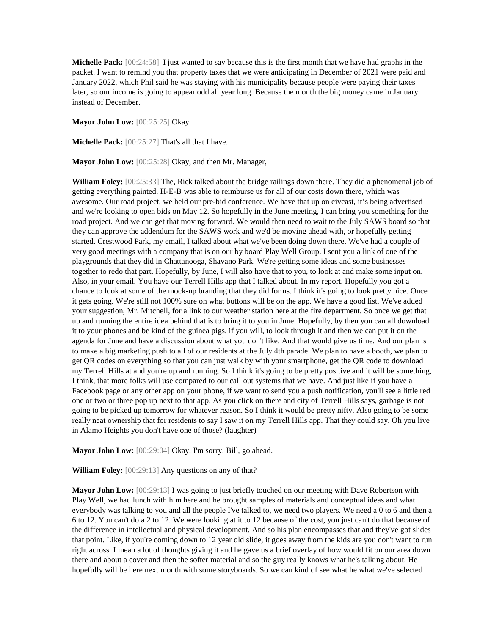**Michelle Pack:** [00:24:58] I just wanted to say because this is the first month that we have had graphs in the packet. I want to remind you that property taxes that we were anticipating in December of 2021 were paid and January 2022, which Phil said he was staying with his municipality because people were paying their taxes later, so our income is going to appear odd all year long. Because the month the big money came in January instead of December.

**Mayor John Low:** [00:25:25] Okay.

**Michelle Pack:** [00:25:27] That's all that I have.

**Mayor John Low:** [00:25:28] Okay, and then Mr. Manager,

**William Foley:** [00:25:33] The, Rick talked about the bridge railings down there. They did a phenomenal job of getting everything painted. H-E-B was able to reimburse us for all of our costs down there, which was awesome. Our road project, we held our pre-bid conference. We have that up on civcast, it's being advertised and we're looking to open bids on May 12. So hopefully in the June meeting, I can bring you something for the road project. And we can get that moving forward. We would then need to wait to the July SAWS board so that they can approve the addendum for the SAWS work and we'd be moving ahead with, or hopefully getting started. Crestwood Park, my email, I talked about what we've been doing down there. We've had a couple of very good meetings with a company that is on our by board Play Well Group. I sent you a link of one of the playgrounds that they did in Chattanooga, Shavano Park. We're getting some ideas and some businesses together to redo that part. Hopefully, by June, I will also have that to you, to look at and make some input on. Also, in your email. You have our Terrell Hills app that I talked about. In my report. Hopefully you got a chance to look at some of the mock-up branding that they did for us. I think it's going to look pretty nice. Once it gets going. We're still not 100% sure on what buttons will be on the app. We have a good list. We've added your suggestion, Mr. Mitchell, for a link to our weather station here at the fire department. So once we get that up and running the entire idea behind that is to bring it to you in June. Hopefully, by then you can all download it to your phones and be kind of the guinea pigs, if you will, to look through it and then we can put it on the agenda for June and have a discussion about what you don't like. And that would give us time. And our plan is to make a big marketing push to all of our residents at the July 4th parade. We plan to have a booth, we plan to get QR codes on everything so that you can just walk by with your smartphone, get the QR code to download my Terrell Hills at and you're up and running. So I think it's going to be pretty positive and it will be something, I think, that more folks will use compared to our call out systems that we have. And just like if you have a Facebook page or any other app on your phone, if we want to send you a push notification, you'll see a little red one or two or three pop up next to that app. As you click on there and city of Terrell Hills says, garbage is not going to be picked up tomorrow for whatever reason. So I think it would be pretty nifty. Also going to be some really neat ownership that for residents to say I saw it on my Terrell Hills app. That they could say. Oh you live in Alamo Heights you don't have one of those? (laughter)

**Mayor John Low:** [00:29:04] Okay, I'm sorry. Bill, go ahead.

**William Foley:** [00:29:13] Any questions on any of that?

**Mayor John Low:** [00:29:13] I was going to just briefly touched on our meeting with Dave Robertson with Play Well, we had lunch with him here and he brought samples of materials and conceptual ideas and what everybody was talking to you and all the people I've talked to, we need two players. We need a 0 to 6 and then a 6 to 12. You can't do a 2 to 12. We were looking at it to 12 because of the cost, you just can't do that because of the difference in intellectual and physical development. And so his plan encompasses that and they've got slides that point. Like, if you're coming down to 12 year old slide, it goes away from the kids are you don't want to run right across. I mean a lot of thoughts giving it and he gave us a brief overlay of how would fit on our area down there and about a cover and then the softer material and so the guy really knows what he's talking about. He hopefully will be here next month with some storyboards. So we can kind of see what he what we've selected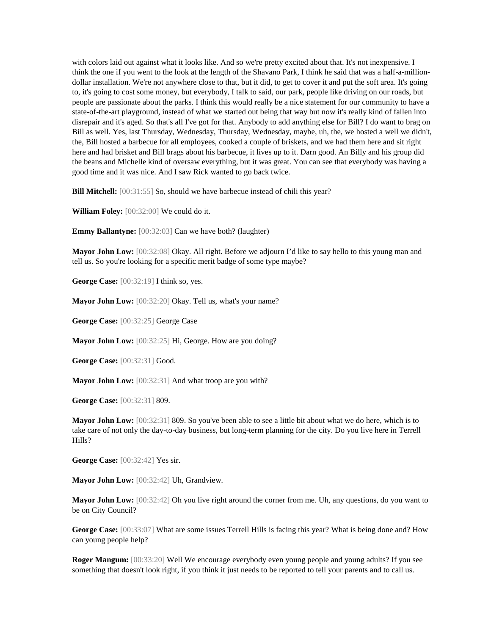with colors laid out against what it looks like. And so we're pretty excited about that. It's not inexpensive. I think the one if you went to the look at the length of the Shavano Park, I think he said that was a half-a-milliondollar installation. We're not anywhere close to that, but it did, to get to cover it and put the soft area. It's going to, it's going to cost some money, but everybody, I talk to said, our park, people like driving on our roads, but people are passionate about the parks. I think this would really be a nice statement for our community to have a state-of-the-art playground, instead of what we started out being that way but now it's really kind of fallen into disrepair and it's aged. So that's all I've got for that. Anybody to add anything else for Bill? I do want to brag on Bill as well. Yes, last Thursday, Wednesday, Thursday, Wednesday, maybe, uh, the, we hosted a well we didn't, the, Bill hosted a barbecue for all employees, cooked a couple of briskets, and we had them here and sit right here and had brisket and Bill brags about his barbecue, it lives up to it. Darn good. An Billy and his group did the beans and Michelle kind of oversaw everything, but it was great. You can see that everybody was having a good time and it was nice. And I saw Rick wanted to go back twice.

**Bill Mitchell:** [00:31:55] So, should we have barbecue instead of chili this year?

**William Foley:** [00:32:00] We could do it.

**Emmy Ballantyne:** [00:32:03] Can we have both? (laughter)

**Mayor John Low:** [00:32:08] Okay. All right. Before we adjourn I'd like to say hello to this young man and tell us. So you're looking for a specific merit badge of some type maybe?

**George Case:** [00:32:19] I think so, yes.

**Mayor John Low:** [00:32:20] Okay. Tell us, what's your name?

**George Case:** [00:32:25] George Case

**Mayor John Low:** [00:32:25] Hi, George. How are you doing?

**George Case:** [00:32:31] Good.

**Mayor John Low:** [00:32:31] And what troop are you with?

**George Case:** [00:32:31] 809.

**Mayor John Low:** [00:32:31] 809. So you've been able to see a little bit about what we do here, which is to take care of not only the day-to-day business, but long-term planning for the city. Do you live here in Terrell Hills?

**George Case:** [00:32:42] Yes sir.

**Mayor John Low:** [00:32:42] Uh, Grandview.

**Mayor John Low:** [00:32:42] Oh you live right around the corner from me. Uh, any questions, do you want to be on City Council?

**George Case:** [00:33:07] What are some issues Terrell Hills is facing this year? What is being done and? How can young people help?

**Roger Mangum:** [00:33:20] Well We encourage everybody even young people and young adults? If you see something that doesn't look right, if you think it just needs to be reported to tell your parents and to call us.